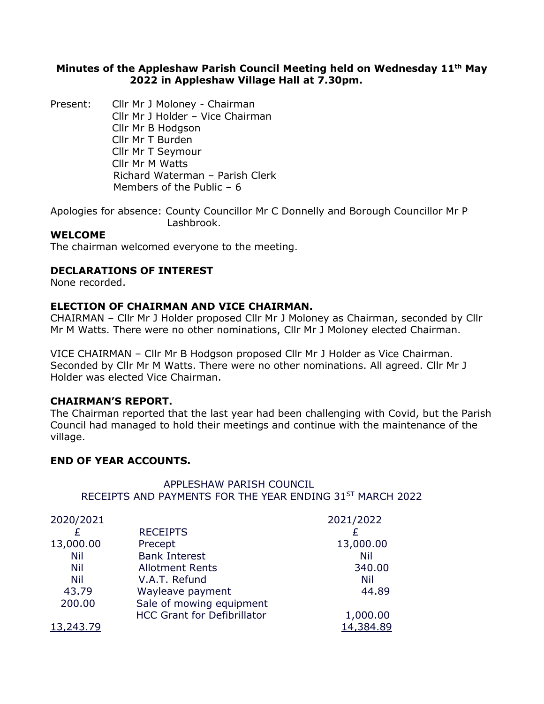# **Minutes of the Appleshaw Parish Council Meeting held on Wednesday 11th May 2022 in Appleshaw Village Hall at 7.30pm.**

Present: Cllr Mr J Moloney - Chairman Cllr Mr J Holder – Vice Chairman Cllr Mr B Hodgson Cllr Mr T Burden Cllr Mr T Seymour Cllr Mr M Watts Richard Waterman – Parish Clerk Members of the Public – 6

Apologies for absence: County Councillor Mr C Donnelly and Borough Councillor Mr P Lashbrook.

# **WELCOME**

The chairman welcomed everyone to the meeting.

## **DECLARATIONS OF INTEREST**

None recorded.

## **ELECTION OF CHAIRMAN AND VICE CHAIRMAN.**

CHAIRMAN – Cllr Mr J Holder proposed Cllr Mr J Moloney as Chairman, seconded by Cllr Mr M Watts. There were no other nominations, Cllr Mr J Moloney elected Chairman.

VICE CHAIRMAN – Cllr Mr B Hodgson proposed Cllr Mr J Holder as Vice Chairman. Seconded by Cllr Mr M Watts. There were no other nominations. All agreed. Cllr Mr J Holder was elected Vice Chairman.

## **CHAIRMAN'S REPORT.**

The Chairman reported that the last year had been challenging with Covid, but the Parish Council had managed to hold their meetings and continue with the maintenance of the village.

## **END OF YEAR ACCOUNTS.**

## APPLESHAW PARISH COUNCIL RECEIPTS AND PAYMENTS FOR THE YEAR ENDING 31ST MARCH 2022

| 2020/2021 |                                    | 2021/2022  |
|-----------|------------------------------------|------------|
|           | <b>RECEIPTS</b>                    |            |
| 13,000.00 | Precept                            | 13,000.00  |
| Nil       | <b>Bank Interest</b>               | Nil        |
| Nil       | <b>Allotment Rents</b>             | 340.00     |
| Nil       | V.A.T. Refund                      | <b>Nil</b> |
| 43.79     | Wayleave payment                   | 44.89      |
| 200.00    | Sale of mowing equipment           |            |
|           | <b>HCC Grant for Defibrillator</b> | 1,000.00   |
| 13,243.79 |                                    | 14,384.89  |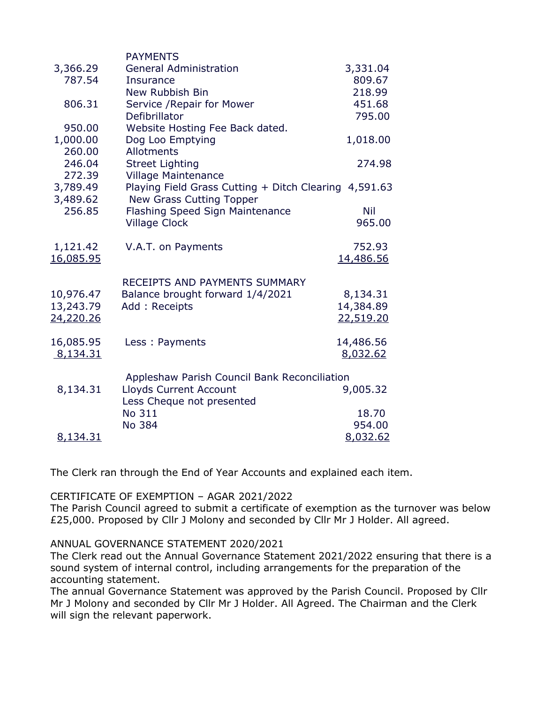|                  | <b>PAYMENTS</b>                                       |           |
|------------------|-------------------------------------------------------|-----------|
| 3,366.29         | <b>General Administration</b>                         | 3,331.04  |
| 787.54           | <b>Insurance</b>                                      | 809.67    |
|                  | New Rubbish Bin                                       | 218.99    |
| 806.31           | Service / Repair for Mower                            | 451.68    |
|                  | Defibrillator                                         | 795.00    |
| 950.00           | Website Hosting Fee Back dated.                       |           |
| 1,000.00         | Dog Loo Emptying                                      | 1,018.00  |
| 260.00           | Allotments                                            |           |
| 246.04           | <b>Street Lighting</b>                                | 274.98    |
| 272.39           | <b>Village Maintenance</b>                            |           |
| 3,789.49         | Playing Field Grass Cutting + Ditch Clearing 4,591.63 |           |
| 3,489.62         | New Grass Cutting Topper                              |           |
| 256.85           | <b>Flashing Speed Sign Maintenance</b>                | Nil       |
|                  | <b>Village Clock</b>                                  | 965.00    |
| 1,121.42         | V.A.T. on Payments                                    | 752.93    |
| <u>16,085.95</u> |                                                       | 14,486.56 |
|                  |                                                       |           |
|                  | RECEIPTS AND PAYMENTS SUMMARY                         |           |
| 10,976.47        | Balance brought forward 1/4/2021                      | 8,134.31  |
| 13,243.79        | Add: Receipts                                         | 14,384.89 |
| 24,220.26        |                                                       | 22,519.20 |
| 16,085.95        | Less: Payments                                        | 14,486.56 |
| 8,134.31         |                                                       | 8,032.62  |
|                  |                                                       |           |
|                  | Appleshaw Parish Council Bank Reconciliation          |           |
| 8,134.31         | <b>Lloyds Current Account</b>                         | 9,005.32  |
|                  | Less Cheque not presented                             |           |
|                  | No 311                                                | 18.70     |
|                  | No 384                                                | 954.00    |
| 8,134.31         |                                                       | 8,032.62  |

The Clerk ran through the End of Year Accounts and explained each item.

CERTIFICATE OF EXEMPTION – AGAR 2021/2022

The Parish Council agreed to submit a certificate of exemption as the turnover was below £25,000. Proposed by Cllr J Molony and seconded by Cllr Mr J Holder. All agreed.

ANNUAL GOVERNANCE STATEMENT 2020/2021

The Clerk read out the Annual Governance Statement 2021/2022 ensuring that there is a sound system of internal control, including arrangements for the preparation of the accounting statement.

The annual Governance Statement was approved by the Parish Council. Proposed by Cllr Mr J Molony and seconded by Cllr Mr J Holder. All Agreed. The Chairman and the Clerk will sign the relevant paperwork.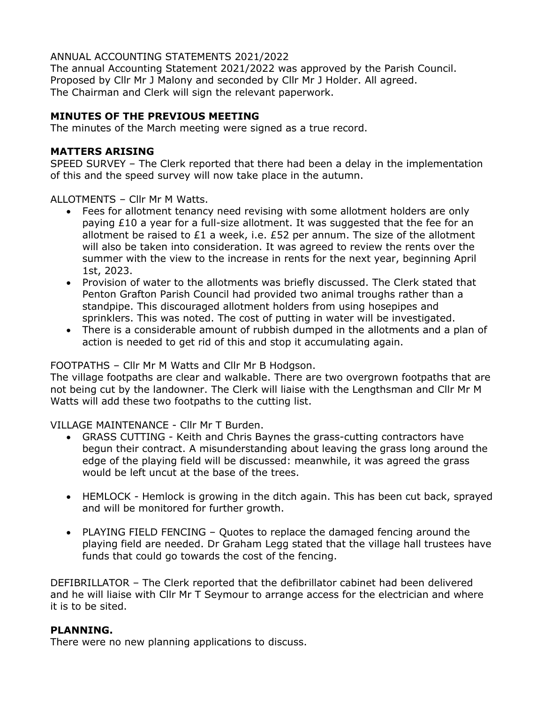# ANNUAL ACCOUNTING STATEMENTS 2021/2022

The annual Accounting Statement 2021/2022 was approved by the Parish Council. Proposed by Cllr Mr J Malony and seconded by Cllr Mr J Holder. All agreed. The Chairman and Clerk will sign the relevant paperwork.

# **MINUTES OF THE PREVIOUS MEETING**

The minutes of the March meeting were signed as a true record.

# **MATTERS ARISING**

SPEED SURVEY – The Clerk reported that there had been a delay in the implementation of this and the speed survey will now take place in the autumn.

ALLOTMENTS – Cllr Mr M Watts.

- Fees for allotment tenancy need revising with some allotment holders are only paying £10 a year for a full-size allotment. It was suggested that the fee for an allotment be raised to £1 a week, i.e. £52 per annum. The size of the allotment will also be taken into consideration. It was agreed to review the rents over the summer with the view to the increase in rents for the next year, beginning April 1st, 2023.
- Provision of water to the allotments was briefly discussed. The Clerk stated that Penton Grafton Parish Council had provided two animal troughs rather than a standpipe. This discouraged allotment holders from using hosepipes and sprinklers. This was noted. The cost of putting in water will be investigated.
- There is a considerable amount of rubbish dumped in the allotments and a plan of action is needed to get rid of this and stop it accumulating again.

# FOOTPATHS – Cllr Mr M Watts and Cllr Mr B Hodgson.

The village footpaths are clear and walkable. There are two overgrown footpaths that are not being cut by the landowner. The Clerk will liaise with the Lengthsman and Cllr Mr M Watts will add these two footpaths to the cutting list.

VILLAGE MAINTENANCE - Cllr Mr T Burden.

- GRASS CUTTING Keith and Chris Baynes the grass-cutting contractors have begun their contract. A misunderstanding about leaving the grass long around the edge of the playing field will be discussed: meanwhile, it was agreed the grass would be left uncut at the base of the trees.
- HEMLOCK Hemlock is growing in the ditch again. This has been cut back, sprayed and will be monitored for further growth.
- PLAYING FIELD FENCING Quotes to replace the damaged fencing around the playing field are needed. Dr Graham Legg stated that the village hall trustees have funds that could go towards the cost of the fencing.

DEFIBRILLATOR – The Clerk reported that the defibrillator cabinet had been delivered and he will liaise with Cllr Mr T Seymour to arrange access for the electrician and where it is to be sited.

## **PLANNING.**

There were no new planning applications to discuss.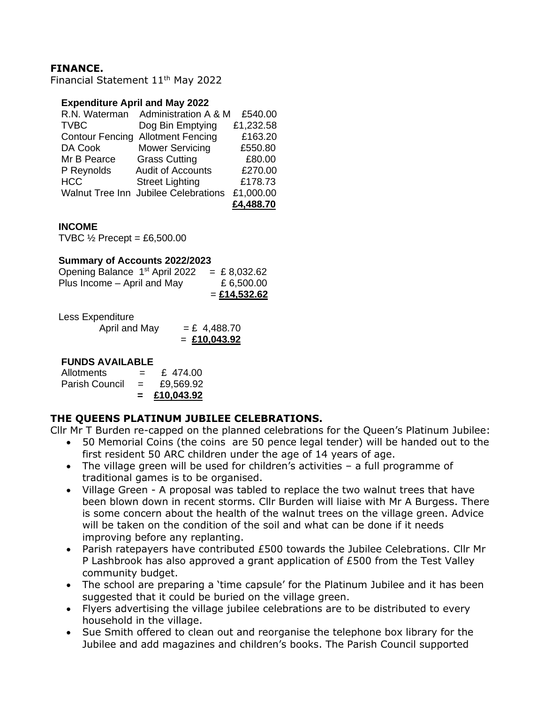# **FINANCE.**

Financial Statement 11th May 2022

#### **Expenditure April and May 2022**

| R.N. Waterman          | Administration A & M                 | £540.00   |
|------------------------|--------------------------------------|-----------|
| <b>TVBC</b>            | Dog Bin Emptying                     | £1,232.58 |
| <b>Contour Fencing</b> | <b>Allotment Fencing</b>             | £163.20   |
| DA Cook                | <b>Mower Servicing</b>               | £550.80   |
| Mr B Pearce            | <b>Grass Cutting</b>                 | £80.00    |
| P Reynolds             | <b>Audit of Accounts</b>             | £270.00   |
| <b>HCC</b>             | <b>Street Lighting</b>               | £178.73   |
|                        | Walnut Tree Inn Jubilee Celebrations | £1,000.00 |
|                        |                                      | £4,488.70 |

#### **INCOME**

TVBC  $\frac{1}{2}$  Precept = £6,500.00

#### **Summary of Accounts 2022/2023**

|                                            | $=$ £14,532.62 |
|--------------------------------------------|----------------|
| Plus Income – April and May                | £6,500.00      |
| Opening Balance 1 <sup>st</sup> April 2022 | $=$ £ 8,032.62 |

Less Expenditure

April and May  $=$  £ 4,488.70 = **£10,043.92**

## **FUNDS AVAILABLE**

|                |     | £10,043.92 |
|----------------|-----|------------|
| Parish Council | $=$ | £9,569.92  |
| Allotments     | $=$ | £ 474.00   |

## **THE QUEENS PLATINUM JUBILEE CELEBRATIONS.**

Cllr Mr T Burden re-capped on the planned celebrations for the Queen's Platinum Jubilee:

- 50 Memorial Coins (the coins are 50 pence legal tender) will be handed out to the first resident 50 ARC children under the age of 14 years of age.
- The village green will be used for children's activities a full programme of traditional games is to be organised.
- Village Green A proposal was tabled to replace the two walnut trees that have been blown down in recent storms. Cllr Burden will liaise with Mr A Burgess. There is some concern about the health of the walnut trees on the village green. Advice will be taken on the condition of the soil and what can be done if it needs improving before any replanting.
- Parish ratepayers have contributed £500 towards the Jubilee Celebrations. Cllr Mr P Lashbrook has also approved a grant application of £500 from the Test Valley community budget.
- The school are preparing a 'time capsule' for the Platinum Jubilee and it has been suggested that it could be buried on the village green.
- Flyers advertising the village jubilee celebrations are to be distributed to every household in the village.
- Sue Smith offered to clean out and reorganise the telephone box library for the Jubilee and add magazines and children's books. The Parish Council supported